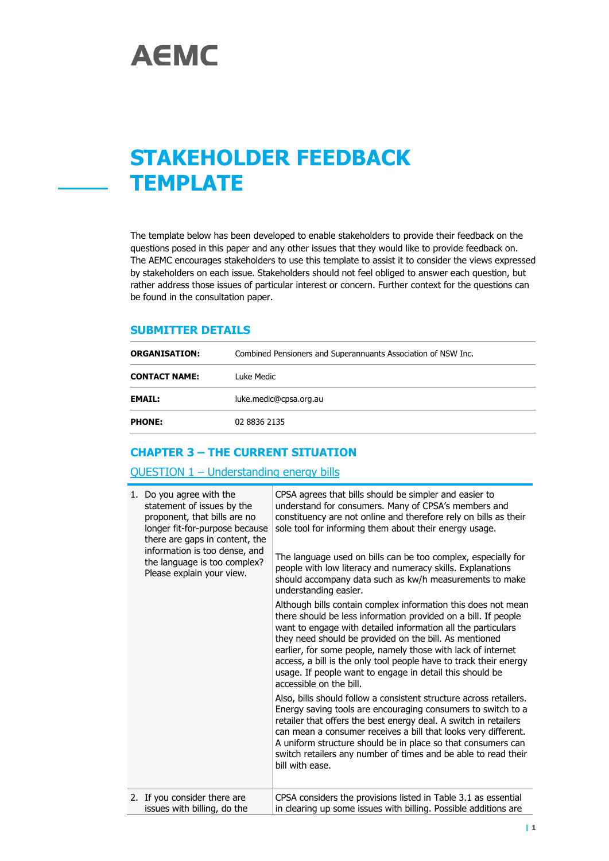# **STAKEHOLDER FEEDBACK TEMPLATE**

The template below has been developed to enable stakeholders to provide their feedback on the questions posed in this paper and any other issues that they would like to provide feedback on. The AEMC encourages stakeholders to use this template to assist it to consider the views expressed by stakeholders on each issue. Stakeholders should not feel obliged to answer each question, but rather address those issues of particular interest or concern. Further context for the questions can be found in the consultation paper.

#### **SUBMITTER DETAILS**

| <b>ORGANISATION:</b> | Combined Pensioners and Superannuants Association of NSW Inc. |  |
|----------------------|---------------------------------------------------------------|--|
| <b>CONTACT NAME:</b> | Luke Medic                                                    |  |
| <b>EMAIL:</b>        | luke.medic@cpsa.org.au                                        |  |
| <b>PHONE:</b>        | 02 8836 2135                                                  |  |

# **CHAPTER 3 – THE CURRENT SITUATION**

#### QUESTION 1 – Understanding energy bills

| 1. Do you agree with the<br>statement of issues by the<br>proponent, that bills are no<br>longer fit-for-purpose because<br>there are gaps in content, the<br>information is too dense, and<br>the language is too complex?<br>Please explain your view. | CPSA agrees that bills should be simpler and easier to<br>understand for consumers. Many of CPSA's members and<br>constituency are not online and therefore rely on bills as their<br>sole tool for informing them about their energy usage.<br>The language used on bills can be too complex, especially for<br>people with low literacy and numeracy skills. Explanations<br>should accompany data such as kw/h measurements to make<br>understanding easier.<br>Although bills contain complex information this does not mean<br>there should be less information provided on a bill. If people<br>want to engage with detailed information all the particulars<br>they need should be provided on the bill. As mentioned<br>earlier, for some people, namely those with lack of internet<br>access, a bill is the only tool people have to track their energy<br>usage. If people want to engage in detail this should be<br>accessible on the bill.<br>Also, bills should follow a consistent structure across retailers.<br>Energy saving tools are encouraging consumers to switch to a<br>retailer that offers the best energy deal. A switch in retailers<br>can mean a consumer receives a bill that looks very different.<br>A uniform structure should be in place so that consumers can<br>switch retailers any number of times and be able to read their<br>bill with ease. |
|----------------------------------------------------------------------------------------------------------------------------------------------------------------------------------------------------------------------------------------------------------|-------------------------------------------------------------------------------------------------------------------------------------------------------------------------------------------------------------------------------------------------------------------------------------------------------------------------------------------------------------------------------------------------------------------------------------------------------------------------------------------------------------------------------------------------------------------------------------------------------------------------------------------------------------------------------------------------------------------------------------------------------------------------------------------------------------------------------------------------------------------------------------------------------------------------------------------------------------------------------------------------------------------------------------------------------------------------------------------------------------------------------------------------------------------------------------------------------------------------------------------------------------------------------------------------------------------------------------------------------------------------------------------|
| 2. If you consider there are<br>issues with billing, do the                                                                                                                                                                                              | CPSA considers the provisions listed in Table 3.1 as essential<br>in clearing up some issues with billing. Possible additions are                                                                                                                                                                                                                                                                                                                                                                                                                                                                                                                                                                                                                                                                                                                                                                                                                                                                                                                                                                                                                                                                                                                                                                                                                                                         |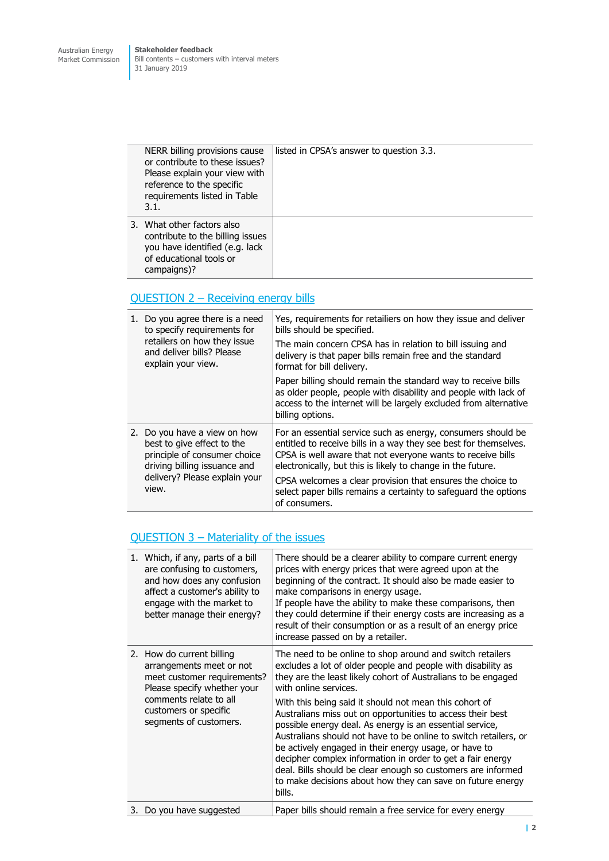**Stakeholder feedback** Bill contents – customers with interval meters 31 January 2019

| NERR billing provisions cause<br>or contribute to these issues?<br>Please explain your view with<br>reference to the specific<br>requirements listed in Table<br>3.1. | listed in CPSA's answer to question 3.3. |
|-----------------------------------------------------------------------------------------------------------------------------------------------------------------------|------------------------------------------|
| 3. What other factors also<br>contribute to the billing issues<br>you have identified (e.g. lack<br>of educational tools or<br>campaigns)?                            |                                          |

# QUESTION 2 – Receiving energy bills

| 1. Do you agree there is a need<br>to specify requirements for<br>retailers on how they issue<br>and deliver bills? Please<br>explain your view.                     | Yes, requirements for retailiers on how they issue and deliver<br>bills should be specified.                                                                                                                                                                   |
|----------------------------------------------------------------------------------------------------------------------------------------------------------------------|----------------------------------------------------------------------------------------------------------------------------------------------------------------------------------------------------------------------------------------------------------------|
|                                                                                                                                                                      | The main concern CPSA has in relation to bill issuing and<br>delivery is that paper bills remain free and the standard<br>format for bill delivery.                                                                                                            |
|                                                                                                                                                                      | Paper billing should remain the standard way to receive bills<br>as older people, people with disability and people with lack of<br>access to the internet will be largely excluded from alternative<br>billing options.                                       |
| 2. Do you have a view on how<br>best to give effect to the<br>principle of consumer choice<br>driving billing issuance and<br>delivery? Please explain your<br>view. | For an essential service such as energy, consumers should be<br>entitled to receive bills in a way they see best for themselves.<br>CPSA is well aware that not everyone wants to receive bills<br>electronically, but this is likely to change in the future. |
|                                                                                                                                                                      | CPSA welcomes a clear provision that ensures the choice to<br>select paper bills remains a certainty to safeguard the options<br>of consumers.                                                                                                                 |

# QUESTION 3 – Materiality of the issues

| 1. Which, if any, parts of a bill<br>are confusing to customers,<br>and how does any confusion<br>affect a customer's ability to<br>engage with the market to<br>better manage their energy?     | There should be a clearer ability to compare current energy<br>prices with energy prices that were agreed upon at the<br>beginning of the contract. It should also be made easier to<br>make comparisons in energy usage.<br>If people have the ability to make these comparisons, then<br>they could determine if their energy costs are increasing as a<br>result of their consumption or as a result of an energy price<br>increase passed on by a retailer.                                                                                                                                                                                                                                                                            |
|--------------------------------------------------------------------------------------------------------------------------------------------------------------------------------------------------|--------------------------------------------------------------------------------------------------------------------------------------------------------------------------------------------------------------------------------------------------------------------------------------------------------------------------------------------------------------------------------------------------------------------------------------------------------------------------------------------------------------------------------------------------------------------------------------------------------------------------------------------------------------------------------------------------------------------------------------------|
| 2. How do current billing<br>arrangements meet or not<br>meet customer requirements?<br>Please specify whether your<br>comments relate to all<br>customers or specific<br>segments of customers. | The need to be online to shop around and switch retailers<br>excludes a lot of older people and people with disability as<br>they are the least likely cohort of Australians to be engaged<br>with online services.<br>With this being said it should not mean this cohort of<br>Australians miss out on opportunities to access their best<br>possible energy deal. As energy is an essential service,<br>Australians should not have to be online to switch retailers, or<br>be actively engaged in their energy usage, or have to<br>decipher complex information in order to get a fair energy<br>deal. Bills should be clear enough so customers are informed<br>to make decisions about how they can save on future energy<br>bills. |
| 3. Do you have suggested                                                                                                                                                                         | Paper bills should remain a free service for every energy                                                                                                                                                                                                                                                                                                                                                                                                                                                                                                                                                                                                                                                                                  |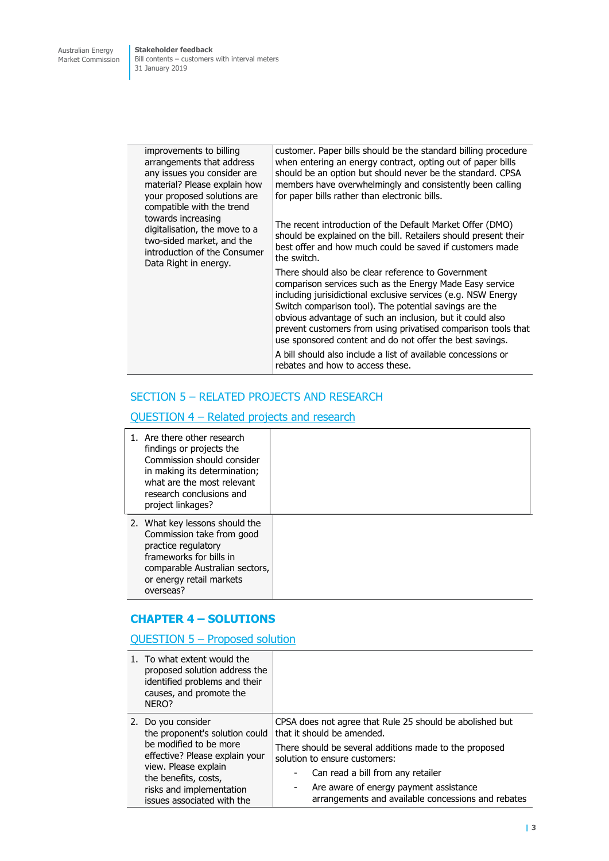**Stakeholder feedback** Bill contents – customers with interval meters 31 January 2019

| improvements to billing<br>arrangements that address<br>any issues you consider are<br>material? Please explain how<br>your proposed solutions are<br>compatible with the trend | customer. Paper bills should be the standard billing procedure<br>when entering an energy contract, opting out of paper bills<br>should be an option but should never be the standard. CPSA<br>members have overwhelmingly and consistently been calling<br>for paper bills rather than electronic bills.                                                                                                                                                                                                                                |
|---------------------------------------------------------------------------------------------------------------------------------------------------------------------------------|------------------------------------------------------------------------------------------------------------------------------------------------------------------------------------------------------------------------------------------------------------------------------------------------------------------------------------------------------------------------------------------------------------------------------------------------------------------------------------------------------------------------------------------|
| towards increasing<br>digitalisation, the move to a<br>two-sided market, and the<br>introduction of the Consumer<br>Data Right in energy.                                       | The recent introduction of the Default Market Offer (DMO)<br>should be explained on the bill. Retailers should present their<br>best offer and how much could be saved if customers made<br>the switch.                                                                                                                                                                                                                                                                                                                                  |
|                                                                                                                                                                                 | There should also be clear reference to Government<br>comparison services such as the Energy Made Easy service<br>including jurisidictional exclusive services (e.g. NSW Energy<br>Switch comparison tool). The potential savings are the<br>obvious advantage of such an inclusion, but it could also<br>prevent customers from using privatised comparison tools that<br>use sponsored content and do not offer the best savings.<br>A bill should also include a list of available concessions or<br>rebates and how to access these. |

# SECTION 5 – RELATED PROJECTS AND RESEARCH

# QUESTION 4 – Related projects and research

| 1. Are there other research<br>findings or projects the<br>Commission should consider<br>in making its determination;<br>what are the most relevant<br>research conclusions and<br>project linkages? |  |
|------------------------------------------------------------------------------------------------------------------------------------------------------------------------------------------------------|--|
| 2. What key lessons should the<br>Commission take from good<br>practice regulatory<br>frameworks for bills in<br>comparable Australian sectors,<br>or energy retail markets<br>overseas?             |  |

#### **CHAPTER 4 – SOLUTIONS**

# QUESTION 5 – Proposed solution

|  | 1. To what extent would the<br>proposed solution address the<br>identified problems and their<br>causes, and promote the<br>NER <sub>O?</sub>                    |                                                                                                   |
|--|------------------------------------------------------------------------------------------------------------------------------------------------------------------|---------------------------------------------------------------------------------------------------|
|  | 2. Do you consider<br>the proponent's solution could<br>be modified to be more<br>effective? Please explain your<br>view. Please explain<br>the benefits, costs, | CPSA does not agree that Rule 25 should be abolished but<br>that it should be amended.            |
|  |                                                                                                                                                                  | There should be several additions made to the proposed<br>solution to ensure customers:           |
|  |                                                                                                                                                                  | Can read a bill from any retailer                                                                 |
|  | risks and implementation<br>issues associated with the                                                                                                           | Are aware of energy payment assistance<br>٠<br>arrangements and available concessions and rebates |